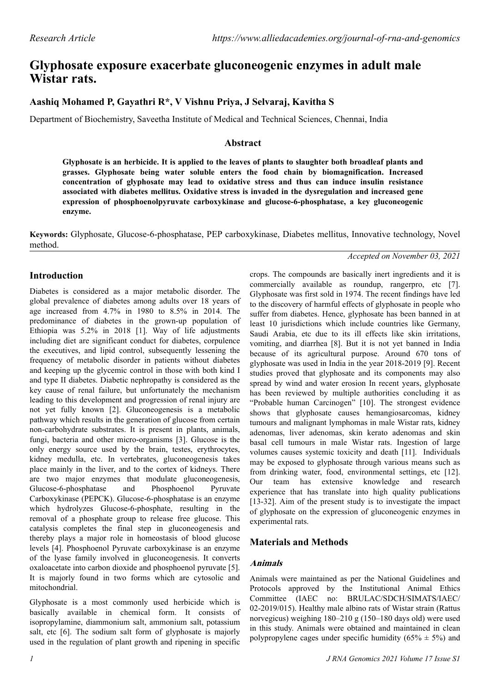# **Glyphosate exposure exacerbate gluconeogenic enzymes in adult male Wistar rats.**

# **Aashiq Mohamed P, Gayathri R\*, V Vishnu Priya, J Selvaraj, Kavitha S**

Department of Biochemistry, Saveetha Institute of Medical and Technical Sciences, Chennai, India

#### **Abstract**

**Glyphosate is an herbicide. It is applied to the leaves of plants to slaughter both broadleaf plants and grasses. Glyphosate being water soluble enters the food chain by biomagnification. Increased concentration of glyphosate may lead to oxidative stress and thus can induce insulin resistance associated with diabetes mellitus. Oxidative stress is invaded in the dysregulation and increased gene expression of phosphoenolpyruvate carboxykinase and glucose-6-phosphatase, a key gluconeogenic enzyme.**

**Keywords:** Glyphosate, Glucose-6-phosphatase, PEP carboxykinase, Diabetes mellitus, Innovative technology, Novel method.

### **Introduction**

Diabetes is considered as a major metabolic disorder. The global prevalence of diabetes among adults over 18 years of age increased from 4.7% in 1980 to 8.5% in 2014. The predominance of diabetes in the grown-up population of Ethiopia was 5.2% in 2018 [1]. Way of life adjustments including diet are significant conduct for diabetes, corpulence the executives, and lipid control, subsequently lessening the frequency of metabolic disorder in patients without diabetes and keeping up the glycemic control in those with both kind I and type II diabetes. Diabetic nephropathy is considered as the key cause of renal failure, but unfortunately the mechanism leading to this development and progression of renal injury are not yet fully known [2]. Gluconeogenesis is a metabolic pathway which results in the generation of glucose from certain non-carbohydrate substrates. It is present in plants, animals, fungi, bacteria and other micro-organisms [3]. Glucose is the only energy source used by the brain, testes, erythrocytes, kidney medulla, etc. In vertebrates, gluconeogenesis takes place mainly in the liver, and to the cortex of kidneys. There are two major enzymes that modulate gluconeogenesis, Glucose-6-phosphatase and Phosphoenol Pyruvate Carboxykinase (PEPCK). Glucose-6-phosphatase is an enzyme which hydrolyzes Glucose-6-phosphate, resulting in the removal of a phosphate group to release free glucose. This catalysis completes the final step in gluconeogenesis and thereby plays a major role in homeostasis of blood glucose levels [4]. Phosphoenol Pyruvate carboxykinase is an enzyme of the lyase family involved in gluconeogenesis. It converts oxaloacetate into carbon dioxide and phosphoenol pyruvate [5]. It is majorly found in two forms which are cytosolic and mitochondrial.

Glyphosate is a most commonly used herbicide which is basically available in chemical form. It consists of isopropylamine, diammonium salt, ammonium salt, potassium salt, etc [6]. The sodium salt form of glyphosate is majorly used in the regulation of plant growth and ripening in specific *Accepted on November 03, 2021*

crops. The compounds are basically inert ingredients and it is commercially available as roundup, rangerpro, etc [7]. Glyphosate was first sold in 1974. The recent findings have led to the discovery of harmful effects of glyphosate in people who suffer from diabetes. Hence, glyphosate has been banned in at least 10 jurisdictions which include countries like Germany, Saudi Arabia, etc due to its ill effects like skin irritations, vomiting, and diarrhea [8]. But it is not yet banned in India because of its agricultural purpose. Around 670 tons of glyphosate was used in India in the year 2018-2019 [9]. Recent studies proved that glyphosate and its components may also spread by wind and water erosion In recent years, glyphosate has been reviewed by multiple authorities concluding it as "Probable human Carcinogen" [10]. The strongest evidence shows that glyphosate causes hemangiosarcomas, kidney tumours and malignant lymphomas in male Wistar rats, kidney adenomas, liver adenomas, skin kerato adenomas and skin basal cell tumours in male Wistar rats. Ingestion of large volumes causes systemic toxicity and death [11]. Individuals may be exposed to glyphosate through various means such as from drinking water, food, environmental settings, etc [12]. Our team has extensive knowledge and research experience that has translate into high quality publications [13-32]. Aim of the present study is to investigate the impact of glyphosate on the expression of gluconeogenic enzymes in experimental rats.

# **Materials and Methods**

#### **Animals**

Animals were maintained as per the National Guidelines and Protocols approved by the Institutional Animal Ethics Committee (IAEC no: BRULAC/SDCH/SIMATS/IAEC/ 02-2019/015). Healthy male albino rats of Wistar strain (Rattus norvegicus) weighing 180–210 g (150–180 days old) were used in this study. Animals were obtained and maintained in clean polypropylene cages under specific humidity  $(65\% \pm 5\%)$  and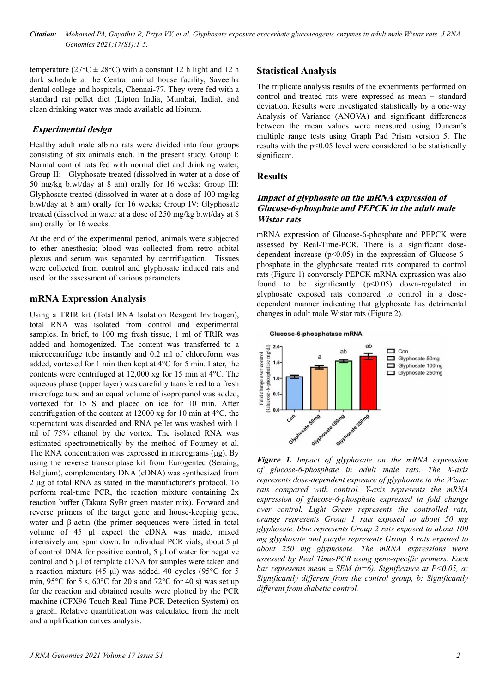temperature ( $27^{\circ}$ C  $\pm$  28°C) with a constant 12 h light and 12 h dark schedule at the Central animal house facility, Saveetha dental college and hospitals, Chennai-77. They were fed with a standard rat pellet diet (Lipton India, Mumbai, India), and clean drinking water was made available ad libitum.

#### **Experimental design**

Healthy adult male albino rats were divided into four groups consisting of six animals each. In the present study, Group I: Normal control rats fed with normal diet and drinking water; Group II: Glyphosate treated (dissolved in water at a dose of 50 mg/kg b.wt/day at 8 am) orally for 16 weeks; Group III: Glyphosate treated (dissolved in water at a dose of 100 mg/kg b.wt/day at 8 am) orally for 16 weeks; Group IV: Glyphosate treated (dissolved in water at a dose of 250 mg/kg b.wt/day at 8 am) orally for 16 weeks.

At the end of the experimental period, animals were subjected to ether anesthesia; blood was collected from retro orbital plexus and serum was separated by centrifugation. Tissues were collected from control and glyphosate induced rats and used for the assessment of various parameters.

### **mRNA Expression Analysis**

Using a TRIR kit (Total RNA Isolation Reagent Invitrogen), total RNA was isolated from control and experimental samples. In brief, to 100 mg fresh tissue, 1 ml of TRIR was added and homogenized. The content was transferred to a microcentrifuge tube instantly and 0.2 ml of chloroform was added, vortexed for 1 min then kept at 4°C for 5 min. Later, the contents were centrifuged at 12,000 xg for 15 min at 4°C. The aqueous phase (upper layer) was carefully transferred to a fresh microfuge tube and an equal volume of isopropanol was added, vortexed for 15 S and placed on ice for 10 min. After centrifugation of the content at 12000 xg for 10 min at 4°C, the supernatant was discarded and RNA pellet was washed with 1 ml of 75% ethanol by the vortex. The isolated RNA was estimated spectrometrically by the method of Fourney et al. The RNA concentration was expressed in micrograms (μg). By using the reverse transcriptase kit from Eurogentec (Seraing, Belgium), complementary DNA (cDNA) was synthesized from 2 μg of total RNA as stated in the manufacturer's protocol. To perform real-time PCR, the reaction mixture containing 2x reaction buffer (Takara SyBr green master mix). Forward and reverse primers of the target gene and house-keeping gene, water and β-actin (the primer sequences were listed in total volume of 45 μl expect the cDNA was made, mixed intensively and spun down. In individual PCR vials, about 5 μl of control DNA for positive control, 5 μl of water for negative control and 5 μl of template cDNA for samples were taken and a reaction mixture (45 μl) was added. 40 cycles (95°C for 5 min, 95 $\rm{^{\circ}C}$  for 5 s, 60 $\rm{^{\circ}C}$  for 20 s and 72 $\rm{^{\circ}C}$  for 40 s) was set up for the reaction and obtained results were plotted by the PCR machine (CFX96 Touch Real-Time PCR Detection System) on a graph. Relative quantification was calculated from the melt and amplification curves analysis.

### **Statistical Analysis**

The triplicate analysis results of the experiments performed on control and treated rats were expressed as mean ± standard deviation. Results were investigated statistically by a one-way Analysis of Variance (ANOVA) and significant differences between the mean values were measured using Duncan's multiple range tests using Graph Pad Prism version 5. The results with the p<0.05 level were considered to be statistically significant.

#### **Results**

#### **Impact of glyphosate on the mRNA expression of Glucose-6-phosphate and PEPCK in the adult male Wistar rats**

mRNA expression of Glucose-6-phosphate and PEPCK were assessed by Real-Time-PCR. There is a significant dosedependent increase ( $p<0.05$ ) in the expression of Glucose-6phosphate in the glyphosate treated rats compared to control rats (Figure 1) conversely PEPCK mRNA expression was also found to be significantly  $(p<0.05)$  down-regulated in glyphosate exposed rats compared to control in a dosedependent manner indicating that glyphosate has detrimental changes in adult male Wistar rats (Figure 2).



**Figure 1.** *Impact of glyphosate on the mRNA expression of glucose-6-phosphate in adult male rats. The X-axis represents dose-dependent exposure of glyphosate to the Wistar rats compared with control. Y-axis represents the mRNA expression of glucose-6-phosphate expressed in fold change over control. Light Green represents the controlled rats, orange represents Group 1 rats exposed to about 50 mg glyphosate, blue represents Group 2 rats exposed to about 100 mg glyphosate and purple represents Group 3 rats exposed to about 250 mg glyphosate. The mRNA expressions were assessed by Real Time-PCR using gene-specific primers. Each bar represents mean ± SEM (n=6). Significance at P<0.05, a: Significantly different from the control group, b: Significantly different from diabetic control.*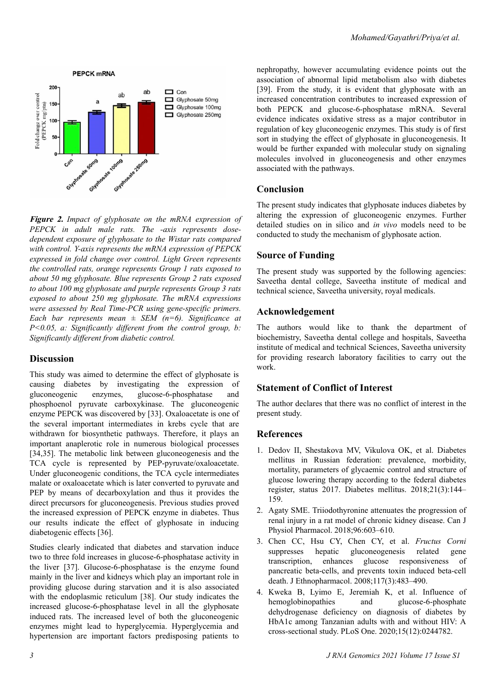

**Figure 2.** *Impact of glyphosate on the mRNA expression of PEPCK in adult male rats. The -axis represents dosedependent exposure of glyphosate to the Wistar rats compared with control. Y-axis represents the mRNA expression of PEPCK expressed in fold change over control. Light Green represents the controlled rats, orange represents Group 1 rats exposed to about 50 mg glyphosate. Blue represents Group 2 rats exposed to about 100 mg glyphosate and purple represents Group 3 rats exposed to about 250 mg glyphosate. The mRNA expressions were assessed by Real Time-PCR using gene-specific primers. Each bar represents mean ± SEM (n=6). Significance at P<0.05, a: Significantly different from the control group, b: Significantly different from diabetic control.*

### **Discussion**

This study was aimed to determine the effect of glyphosate is causing diabetes by investigating the expression of gluconeogenic enzymes, glucose-6-phosphatase and phosphoenol pyruvate carboxykinase. The gluconeogenic enzyme PEPCK was discovered by [33]. Oxaloacetate is one of the several important intermediates in krebs cycle that are withdrawn for biosynthetic pathways. Therefore, it plays an important anaplerotic role in numerous biological processes [34,35]. The metabolic link between gluconeogenesis and the TCA cycle is represented by PEP-pyruvate/oxaloacetate. Under gluconeogenic conditions, the TCA cycle intermediates malate or oxaloacetate which is later converted to pyruvate and PEP by means of decarboxylation and thus it provides the direct precursors for gluconeogenesis. Previous studies proved the increased expression of PEPCK enzyme in diabetes. Thus our results indicate the effect of glyphosate in inducing diabetogenic effects [36].

Studies clearly indicated that diabetes and starvation induce two to three fold increases in glucose-6-phosphatase activity in the liver [37]. Glucose-6-phosphatase is the enzyme found mainly in the liver and kidneys which play an important role in providing glucose during starvation and it is also associated with the endoplasmic reticulum [38]. Our study indicates the increased glucose-6-phosphatase level in all the glyphosate induced rats. The increased level of both the gluconeogenic enzymes might lead to hyperglycemia. Hyperglycemia and hypertension are important factors predisposing patients to

nephropathy, however accumulating evidence points out the association of abnormal lipid metabolism also with diabetes [39]. From the study, it is evident that glyphosate with an increased concentration contributes to increased expression of both PEPCK and glucose-6-phosphatase mRNA. Several evidence indicates oxidative stress as a major contributor in regulation of key gluconeogenic enzymes. This study is of first sort in studying the effect of glyphosate in gluconeogenesis. It would be further expanded with molecular study on signaling molecules involved in gluconeogenesis and other enzymes associated with the pathways.

### **Conclusion**

The present study indicates that glyphosate induces diabetes by altering the expression of gluconeogenic enzymes. Further detailed studies on in silico and *in vivo* models need to be conducted to study the mechanism of glyphosate action.

# **Source of Funding**

The present study was supported by the following agencies: Saveetha dental college, Saveetha institute of medical and technical science, Saveetha university, royal medicals.

# **Acknowledgement**

The authors would like to thank the department of biochemistry, Saveetha dental college and hospitals, Saveetha institute of medical and technical Sciences, Saveetha university for providing research laboratory facilities to carry out the work.

# **Statement of Conflict of Interest**

The author declares that there was no conflict of interest in the present study.

### **References**

- 1. [Dedov II, Shestakova MV, Vikulova OK, et al. Diabetes](https://www.dia-endojournals.ru/jour/article/view/9686?locale=en_US) [mellitus in Russian federation: prevalence, morbidity,](https://www.dia-endojournals.ru/jour/article/view/9686?locale=en_US) [mortality, parameters of glycaemic control and structure of](https://www.dia-endojournals.ru/jour/article/view/9686?locale=en_US) [glucose lowering therapy according to the federal diabetes](https://www.dia-endojournals.ru/jour/article/view/9686?locale=en_US) [register, status 2017. Diabetes mellitus. 2018;21\(3\):144–](https://www.dia-endojournals.ru/jour/article/view/9686?locale=en_US) [159.](https://www.dia-endojournals.ru/jour/article/view/9686?locale=en_US)
- 2. [Agaty SME. Triiodothyronine attenuates the progression of](https://cdnsciencepub.com/doi/10.1139/cjpp-2017-0252) [renal injury in a rat model of chronic kidney disease. Can J](https://cdnsciencepub.com/doi/10.1139/cjpp-2017-0252) [Physiol Pharmacol. 2018;96:603–610.](https://cdnsciencepub.com/doi/10.1139/cjpp-2017-0252)
- 3. [Chen CC, Hsu CY, Chen CY, et al.](https://www.sciencedirect.com/science/article/abs/pii/S0378874108001177?via%3Dihub) *Fructus Corni* [suppresses hepatic gluconeogenesis related gene](https://www.sciencedirect.com/science/article/abs/pii/S0378874108001177?via%3Dihub) [transcription, enhances glucose responsiveness of](https://www.sciencedirect.com/science/article/abs/pii/S0378874108001177?via%3Dihub) [pancreatic beta-cells, and prevents toxin induced beta-cell](https://www.sciencedirect.com/science/article/abs/pii/S0378874108001177?via%3Dihub) [death. J Ethnopharmacol. 2008;117\(3\):483–490.](https://www.sciencedirect.com/science/article/abs/pii/S0378874108001177?via%3Dihub)
- 4. [Kweka B, Lyimo E, Jeremiah K, et al. Influence of](https://journals.plos.org/plosone/article?id=10.1371/journal.pone.0244782) [hemoglobinopathies and glucose-6-phosphate](https://journals.plos.org/plosone/article?id=10.1371/journal.pone.0244782) [dehydrogenase deficiency on diagnosis of diabetes by](https://journals.plos.org/plosone/article?id=10.1371/journal.pone.0244782) [HbA1c among Tanzanian adults with and without HIV: A](https://journals.plos.org/plosone/article?id=10.1371/journal.pone.0244782) [cross-sectional study. PLoS One. 2020;15\(12\):0244782.](https://journals.plos.org/plosone/article?id=10.1371/journal.pone.0244782)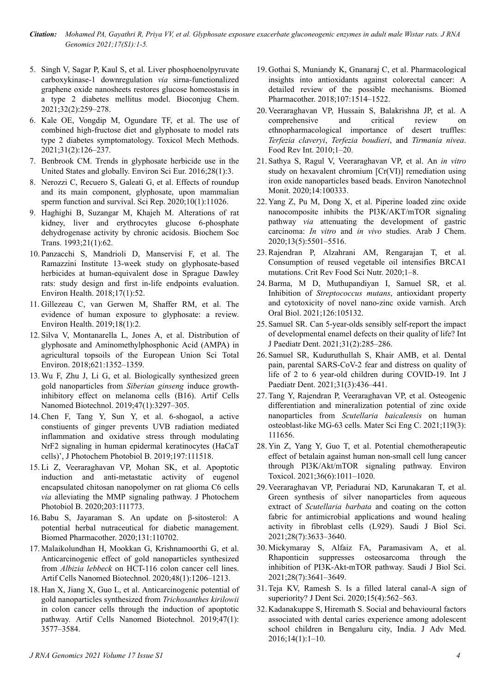*Citation: Mohamed PA, Gayathri R, Priya VV, et al. Glyphosate exposure exacerbate gluconeogenic enzymes in adult male Wistar rats. J RNA Genomics 2021;17(S1):1-5.*

- 5. [Singh V, Sagar P, Kaul S, et al. Liver phosphoenolpyruvate](https://pubs.acs.org/doi/10.1021/acs.bioconjchem.0c00645) [carboxykinase-1 downregulation](https://pubs.acs.org/doi/10.1021/acs.bioconjchem.0c00645) *via* sirna-functionalized [graphene oxide nanosheets restores glucose homeostasis in](https://pubs.acs.org/doi/10.1021/acs.bioconjchem.0c00645) [a type 2 diabetes mellitus model. Bioconjug Chem.](https://pubs.acs.org/doi/10.1021/acs.bioconjchem.0c00645) [2021;32\(2\):259–278.](https://pubs.acs.org/doi/10.1021/acs.bioconjchem.0c00645)
- 6. [Kale OE, Vongdip M, Ogundare TF, et al. The use of](https://www.tandfonline.com/doi/abs/10.1080/15376516.2020.1845889?journalCode=itxm20) [combined high-fructose diet and glyphosate to model rats](https://www.tandfonline.com/doi/abs/10.1080/15376516.2020.1845889?journalCode=itxm20) [type 2 diabetes symptomatology. Toxicol Mech Methods.](https://www.tandfonline.com/doi/abs/10.1080/15376516.2020.1845889?journalCode=itxm20) [2021;31\(2\):126–237.](https://www.tandfonline.com/doi/abs/10.1080/15376516.2020.1845889?journalCode=itxm20)
- 7. [Benbrook CM. Trends in glyphosate herbicide use in the](https://enveurope.springeropen.com/track/pdf/10.1186/s12302-016-0070-0.pdf) [United States and globally. Environ Sci Eur. 2016;28\(1\):3.](https://enveurope.springeropen.com/track/pdf/10.1186/s12302-016-0070-0.pdf)
- 8. [Nerozzi C, Recuero S, Galeati G, et al. Effects of roundup](https://www.nature.com/articles/s41598-020-67538-w.pdf) [and its main component, glyphosate, upon mammalian](https://www.nature.com/articles/s41598-020-67538-w.pdf) [sperm function and survival. Sci Rep. 2020;10\(1\):11026.](https://www.nature.com/articles/s41598-020-67538-w.pdf)
- 9. [Haghighi B, Suzangar M, Khajeh M. Alterations of rat](https://portlandpress.com/biochemsoctrans/article-abstract/21/1/62S/80800/Alterations-of-rat-kidney-liver-and-erythrocytes?redirectedFrom=fulltext) [kidney, liver and erythrocytes glucose 6-phosphate](https://portlandpress.com/biochemsoctrans/article-abstract/21/1/62S/80800/Alterations-of-rat-kidney-liver-and-erythrocytes?redirectedFrom=fulltext) [dehydrogenase activity by chronic acidosis. Biochem Soc](https://portlandpress.com/biochemsoctrans/article-abstract/21/1/62S/80800/Alterations-of-rat-kidney-liver-and-erythrocytes?redirectedFrom=fulltext) [Trans. 1993;21\(1\):62.](https://portlandpress.com/biochemsoctrans/article-abstract/21/1/62S/80800/Alterations-of-rat-kidney-liver-and-erythrocytes?redirectedFrom=fulltext)
- 10. [Panzacchi S, Mandrioli D, Manservisi F, et al. The](https://ehjournal.biomedcentral.com/track/pdf/10.1186/s12940-018-0393-y.pdf) [Ramazzini Institute 13-week study on glyphosate-based](https://ehjournal.biomedcentral.com/track/pdf/10.1186/s12940-018-0393-y.pdf) [herbicides at human-equivalent dose in Sprague Dawley](https://ehjournal.biomedcentral.com/track/pdf/10.1186/s12940-018-0393-y.pdf) [rats: study design and first in-life endpoints evaluation.](https://ehjournal.biomedcentral.com/track/pdf/10.1186/s12940-018-0393-y.pdf) [Environ Health. 2018;17\(1\):52.](https://ehjournal.biomedcentral.com/track/pdf/10.1186/s12940-018-0393-y.pdf)
- 11. [Gillezeau C, van Gerwen M, Shaffer RM, et al. The](https://ehjournal.biomedcentral.com/track/pdf/10.1186/s12940-018-0435-5.pdf) [evidence of human exposure to glyphosate: a review.](https://ehjournal.biomedcentral.com/track/pdf/10.1186/s12940-018-0435-5.pdf) [Environ Health. 2019;18\(1\):2.](https://ehjournal.biomedcentral.com/track/pdf/10.1186/s12940-018-0435-5.pdf)
- 12. [Silva V, Montanarella L, Jones A, et al. Distribution of](https://research.wur.nl/en/publications/distribution-of-glyphosate-and-aminomethylphosphonic-acid-ampa-in) [glyphosate and Aminomethylphosphonic Acid \(AMPA\) in](https://research.wur.nl/en/publications/distribution-of-glyphosate-and-aminomethylphosphonic-acid-ampa-in) [agricultural topsoils of the European Union Sci Total](https://research.wur.nl/en/publications/distribution-of-glyphosate-and-aminomethylphosphonic-acid-ampa-in) [Environ. 2018;621:1352–1359.](https://research.wur.nl/en/publications/distribution-of-glyphosate-and-aminomethylphosphonic-acid-ampa-in)
- 13. [Wu F, Zhu J, Li G, et al. Biologically synthesized green](https://www.tandfonline.com/doi/epub/10.1080/21691401.2019.1647224?needAccess=true) [gold nanoparticles from](https://www.tandfonline.com/doi/epub/10.1080/21691401.2019.1647224?needAccess=true) *Siberian ginseng* induce growth[inhibitory effect on melanoma cells \(B16\). Artif Cells](https://www.tandfonline.com/doi/epub/10.1080/21691401.2019.1647224?needAccess=true) [Nanomed Biotechnol. 2019;47\(1\):3297–305.](https://www.tandfonline.com/doi/epub/10.1080/21691401.2019.1647224?needAccess=true)
- 14. [Chen F, Tang Y, Sun Y, et al. 6-shogaol, a active](https://www.meta.org/papers/6-shogaol-a-active-constiuents-of-ginger-prevents/31202076http:/paperpile.com/b/J4KHGO/QzgAL) [constiuents of ginger prevents UVB radiation mediated](https://www.meta.org/papers/6-shogaol-a-active-constiuents-of-ginger-prevents/31202076http:/paperpile.com/b/J4KHGO/QzgAL) [inflammation and oxidative stress through modulating](https://www.meta.org/papers/6-shogaol-a-active-constiuents-of-ginger-prevents/31202076http:/paperpile.com/b/J4KHGO/QzgAL) [NrF2 signaling in human epidermal keratinocytes \(HaCaT](https://www.meta.org/papers/6-shogaol-a-active-constiuents-of-ginger-prevents/31202076http:/paperpile.com/b/J4KHGO/QzgAL) [cells\)', J Photochem Photobiol B. 2019;197:111518.](https://www.meta.org/papers/6-shogaol-a-active-constiuents-of-ginger-prevents/31202076http:/paperpile.com/b/J4KHGO/QzgAL)
- 15. [Li Z, Veeraraghavan VP, Mohan SK, et al. Apoptotic](https://research.nu.edu.kz/en/publications/apoptotic-induction-and-anti-metastatic-activity-of-eugenol-encap) [induction and anti-metastatic activity of eugenol](https://research.nu.edu.kz/en/publications/apoptotic-induction-and-anti-metastatic-activity-of-eugenol-encap) [encapsulated chitosan nanopolymer on rat glioma C6 cells](https://research.nu.edu.kz/en/publications/apoptotic-induction-and-anti-metastatic-activity-of-eugenol-encap) *via* [alleviating the MMP signaling pathway. J Photochem](https://research.nu.edu.kz/en/publications/apoptotic-induction-and-anti-metastatic-activity-of-eugenol-encap) [Photobiol B. 2020;203:111773.](https://research.nu.edu.kz/en/publications/apoptotic-induction-and-anti-metastatic-activity-of-eugenol-encap)
- 16. [Babu S, Jayaraman S. An update on β-sitosterol: A](https://www.sciencedirect.com/science/article/pii/S0753332220308957?via%3Dihubhttp://paperpile.com/b/D81fwm/fj7d2) [potential herbal nutraceutical for diabetic management.](https://www.sciencedirect.com/science/article/pii/S0753332220308957?via%3Dihubhttp://paperpile.com/b/D81fwm/fj7d2) [Biomed Pharmacother. 2020;131:110702.](https://www.sciencedirect.com/science/article/pii/S0753332220308957?via%3Dihubhttp://paperpile.com/b/D81fwm/fj7d2)
- 17. [Malaikolundhan H, Mookkan G, Krishnamoorthi G, et al.](https://www.tandfonline.com/doi/epub/10.1080/21691401.2020.1814313?needAccess=truehttp://paperpile.com/b/J4KHGO/VLCpe) [Anticarcinogenic effect of gold nanoparticles synthesized](https://www.tandfonline.com/doi/epub/10.1080/21691401.2020.1814313?needAccess=truehttp://paperpile.com/b/J4KHGO/VLCpe) from *Albizia lebbeck* [on HCT-116 colon cancer cell lines.](https://www.tandfonline.com/doi/epub/10.1080/21691401.2020.1814313?needAccess=truehttp://paperpile.com/b/J4KHGO/VLCpe) [Artif Cells Nanomed Biotechnol. 2020;48\(1\):1206–1213.](https://www.tandfonline.com/doi/epub/10.1080/21691401.2020.1814313?needAccess=truehttp://paperpile.com/b/J4KHGO/VLCpe)
- 18. [Han X, Jiang X, Guo L, et al. Anticarcinogenic potential of](https://www.tandfonline.com/doi/epub/10.1080/21691401.2019.1626412?needAccess=truehttp://paperpile.com/b/J4KHGO/JOUGe) [gold nanoparticles synthesized from](https://www.tandfonline.com/doi/epub/10.1080/21691401.2019.1626412?needAccess=truehttp://paperpile.com/b/J4KHGO/JOUGe) *Trichosanthes kirilowii* [in colon cancer cells through the induction of apoptotic](https://www.tandfonline.com/doi/epub/10.1080/21691401.2019.1626412?needAccess=truehttp://paperpile.com/b/J4KHGO/JOUGe) [pathway. Artif Cells Nanomed Biotechnol. 2019;47\(1\):](https://www.tandfonline.com/doi/epub/10.1080/21691401.2019.1626412?needAccess=truehttp://paperpile.com/b/J4KHGO/JOUGe) [3577–3584.](https://www.tandfonline.com/doi/epub/10.1080/21691401.2019.1626412?needAccess=truehttp://paperpile.com/b/J4KHGO/JOUGe)
- 19. [Gothai S, Muniandy K, Gnanaraj C, et al. Pharmacological](https://www.sciencedirect.com/science/article/abs/pii/S0753332218342574?via%3Dihubhttp://paperpile.com/b/J4KHGO/I2biL) [insights into antioxidants against colorectal cancer: A](https://www.sciencedirect.com/science/article/abs/pii/S0753332218342574?via%3Dihubhttp://paperpile.com/b/J4KHGO/I2biL) [detailed review of the possible mechanisms. Biomed](https://www.sciencedirect.com/science/article/abs/pii/S0753332218342574?via%3Dihubhttp://paperpile.com/b/J4KHGO/I2biL) [Pharmacother. 2018;107:1514–1522.](https://www.sciencedirect.com/science/article/abs/pii/S0753332218342574?via%3Dihubhttp://paperpile.com/b/J4KHGO/I2biL)
- 20. [Veeraraghavan VP, Hussain S, Balakrishna JP, et al. A](https://www.tandfonline.com/doi/full/10.1080/87559129.2021.1889581?scroll=top&needAccess=true) [comprehensive and critical review on](https://www.tandfonline.com/doi/full/10.1080/87559129.2021.1889581?scroll=top&needAccess=true) [ethnopharmacological importance of desert truffles:](https://www.tandfonline.com/doi/full/10.1080/87559129.2021.1889581?scroll=top&needAccess=true) *Terfezia claveryi*, *[Terfezia boudieri](https://www.tandfonline.com/doi/full/10.1080/87559129.2021.1889581?scroll=top&needAccess=true)*, and *Tirmania nivea*. [Food Rev Int. 2010;1–20.](https://www.tandfonline.com/doi/full/10.1080/87559129.2021.1889581?scroll=top&needAccess=true)
- 21. [Sathya S, Ragul V, Veeraraghavan VP, et al. An](https://pubag.nal.usda.gov/catalog/7004005) *in vitro* [study on hexavalent chromium \[Cr\(VI\)\] remediation using](https://pubag.nal.usda.gov/catalog/7004005) [iron oxide nanoparticles based beads. Environ Nanotechnol](https://pubag.nal.usda.gov/catalog/7004005) [Monit. 2020;14:100333.](https://pubag.nal.usda.gov/catalog/7004005)
- 22. [Yang Z, Pu M, Dong X, et al. Piperine loaded zinc oxide](https://reader.elsevier.com/reader/sd/pii/S1878535220301039?token=3F24223D62EB9DC2011001A48775728426D78421B9D5A4E3E2150257A9E906B8E42FB43B20D9D5FFC5DCA079FE025CF3&originRegion=eu-west-1&originCreation=20211119082610http://paperpile.com/b/CxHuCN/xUedG) [nanocomposite inhibits the PI3K/AKT/mTOR signaling](https://reader.elsevier.com/reader/sd/pii/S1878535220301039?token=3F24223D62EB9DC2011001A48775728426D78421B9D5A4E3E2150257A9E906B8E42FB43B20D9D5FFC5DCA079FE025CF3&originRegion=eu-west-1&originCreation=20211119082610http://paperpile.com/b/CxHuCN/xUedG) pathway *via* [attenuating the development of gastric](https://reader.elsevier.com/reader/sd/pii/S1878535220301039?token=3F24223D62EB9DC2011001A48775728426D78421B9D5A4E3E2150257A9E906B8E42FB43B20D9D5FFC5DCA079FE025CF3&originRegion=eu-west-1&originCreation=20211119082610http://paperpile.com/b/CxHuCN/xUedG) carcinoma: *In vitro* and *in vivo* [studies. Arab J Chem.](https://reader.elsevier.com/reader/sd/pii/S1878535220301039?token=3F24223D62EB9DC2011001A48775728426D78421B9D5A4E3E2150257A9E906B8E42FB43B20D9D5FFC5DCA079FE025CF3&originRegion=eu-west-1&originCreation=20211119082610http://paperpile.com/b/CxHuCN/xUedG) [2020;13\(5\):5501–5516.](https://reader.elsevier.com/reader/sd/pii/S1878535220301039?token=3F24223D62EB9DC2011001A48775728426D78421B9D5A4E3E2150257A9E906B8E42FB43B20D9D5FFC5DCA079FE025CF3&originRegion=eu-west-1&originCreation=20211119082610http://paperpile.com/b/CxHuCN/xUedG)
- 23. [Rajendran P, Alzahrani AM, Rengarajan T, et al.](https://www.tandfonline.com/doi/abs/10.1080/10408398.2020.1837725?journalCode=bfsn20http://paperpile.com/b/CxHuCN/HRQRD) [Consumption of reused vegetable oil intensifies BRCA1](https://www.tandfonline.com/doi/abs/10.1080/10408398.2020.1837725?journalCode=bfsn20http://paperpile.com/b/CxHuCN/HRQRD) [mutations. Crit Rev Food Sci Nutr. 2020;1–8.](https://www.tandfonline.com/doi/abs/10.1080/10408398.2020.1837725?journalCode=bfsn20http://paperpile.com/b/CxHuCN/HRQRD)
- 24. [Barma, M D, Muthupandiyan I, Samuel SR, et al.](https://cancerres.unboundmedicine.com/medline/citation/33895543/Inhibition_of_Streptococcus_mutans,_antioxidant_property_and_cytotoxicity_of_novel_nano-zinc_oxide_varnish.) Inhibition of *Streptococcus mutans*[, antioxidant property](https://cancerres.unboundmedicine.com/medline/citation/33895543/Inhibition_of_Streptococcus_mutans,_antioxidant_property_and_cytotoxicity_of_novel_nano-zinc_oxide_varnish.) [and cytotoxicity of novel nano-zinc oxide varnish. Arch](https://cancerres.unboundmedicine.com/medline/citation/33895543/Inhibition_of_Streptococcus_mutans,_antioxidant_property_and_cytotoxicity_of_novel_nano-zinc_oxide_varnish.) [Oral Biol. 2021;126:105132.](https://cancerres.unboundmedicine.com/medline/citation/33895543/Inhibition_of_Streptococcus_mutans,_antioxidant_property_and_cytotoxicity_of_novel_nano-zinc_oxide_varnish.)
- 25. [Samuel SR. Can 5-year-olds sensibly self-report the impact](https://onlinelibrary.wiley.com/doi/epdf/10.1111/ipd.12662http:/paperpile.com/b/CxHuCN/P5h52) [of developmental enamel defects on their quality of life? Int](https://onlinelibrary.wiley.com/doi/epdf/10.1111/ipd.12662http:/paperpile.com/b/CxHuCN/P5h52) [J Paediatr Dent. 2021;31\(2\):285–286.](https://onlinelibrary.wiley.com/doi/epdf/10.1111/ipd.12662http:/paperpile.com/b/CxHuCN/P5h52)
- 26. [Samuel SR, Kuduruthullah S, Khair AMB, et al. Dental](https://onlinelibrary.wiley.com/doi/epdf/10.1111/ipd.12757) [pain, parental SARS-CoV-2 fear and distress on quality of](https://onlinelibrary.wiley.com/doi/epdf/10.1111/ipd.12757) [life of 2 to 6 year-old children during COVID-19. Int J](https://onlinelibrary.wiley.com/doi/epdf/10.1111/ipd.12757) [Paediatr Dent. 2021;31\(3\):436–441.](https://onlinelibrary.wiley.com/doi/epdf/10.1111/ipd.12757)
- 27. [Tang Y, Rajendran P, Veeraraghavan VP, et al. Osteogenic](https://www.sciencedirect.com/science/article/abs/pii/S0928493120335748?via%3Dihub) [differentiation and mineralization potential of zinc oxide](https://www.sciencedirect.com/science/article/abs/pii/S0928493120335748?via%3Dihub) nanoparticles from *[Scutellaria baicalensis](https://www.sciencedirect.com/science/article/abs/pii/S0928493120335748?via%3Dihub)* on human [osteoblast-like MG-63 cells. Mater Sci Eng C. 2021;119\(3\):](https://www.sciencedirect.com/science/article/abs/pii/S0928493120335748?via%3Dihub) [111656.](https://www.sciencedirect.com/science/article/abs/pii/S0928493120335748?via%3Dihub)
- 28. [Yin Z, Yang Y, Guo T, et al. Potential chemotherapeutic](https://onlinelibrary.wiley.com/doi/epdf/10.1002/tox.23100http:/paperpile.com/b/CxHuCN/RUIO1) [effect of betalain against human non-small cell lung cancer](https://onlinelibrary.wiley.com/doi/epdf/10.1002/tox.23100http:/paperpile.com/b/CxHuCN/RUIO1) [through PI3K/Akt/mTOR signaling pathway. Environ](https://onlinelibrary.wiley.com/doi/epdf/10.1002/tox.23100http:/paperpile.com/b/CxHuCN/RUIO1) [Toxicol. 2021;36\(6\):1011–1020.](https://onlinelibrary.wiley.com/doi/epdf/10.1002/tox.23100http:/paperpile.com/b/CxHuCN/RUIO1)
- 29. [Veeraraghavan VP, Periadurai ND, Karunakaran T, et al.](https://www.ncbi.nlm.nih.gov/pmc/articles/PMC8241602/pdf/main.pdfhttp:/paperpile.com/b/CxHuCN/GdKbZ) [Green synthesis of silver nanoparticles from aqueous](https://www.ncbi.nlm.nih.gov/pmc/articles/PMC8241602/pdf/main.pdfhttp:/paperpile.com/b/CxHuCN/GdKbZ) extract of *Scutellaria barbata* [and coating on the cotton](https://www.ncbi.nlm.nih.gov/pmc/articles/PMC8241602/pdf/main.pdfhttp:/paperpile.com/b/CxHuCN/GdKbZ) [fabric for antimicrobial applications and wound healing](https://www.ncbi.nlm.nih.gov/pmc/articles/PMC8241602/pdf/main.pdfhttp:/paperpile.com/b/CxHuCN/GdKbZ) [activity in fibroblast cells \(L929\). Saudi J Biol Sci.](https://www.ncbi.nlm.nih.gov/pmc/articles/PMC8241602/pdf/main.pdfhttp:/paperpile.com/b/CxHuCN/GdKbZ) [2021;28\(7\):3633–3640.](https://www.ncbi.nlm.nih.gov/pmc/articles/PMC8241602/pdf/main.pdfhttp:/paperpile.com/b/CxHuCN/GdKbZ)
- 30. [Mickymaray S, Alfaiz FA, Paramasivam A, et al.](https://www.sciencedirect.com/science/article/pii/S1319562X21003776?via%3Dihubhttp://paperpile.com/b/CxHuCN/YkoZO) [Rhaponticin suppresses osteosarcoma through the](https://www.sciencedirect.com/science/article/pii/S1319562X21003776?via%3Dihubhttp://paperpile.com/b/CxHuCN/YkoZO) [inhibition of PI3K-Akt-mTOR pathway. Saudi J Biol Sci.](https://www.sciencedirect.com/science/article/pii/S1319562X21003776?via%3Dihubhttp://paperpile.com/b/CxHuCN/YkoZO) [2021;28\(7\):3641–3649.](https://www.sciencedirect.com/science/article/pii/S1319562X21003776?via%3Dihubhttp://paperpile.com/b/CxHuCN/YkoZO)
- 31. [Teja KV, Ramesh S. Is a filled lateral canal-A sign of](https://www.sciencedirect.com/science/article/pii/S1991790220300544?via%3Dihub) superiority? J Dent Sci. 2020;15(4):562-563.
- 32. [Kadanakuppe S, Hiremath S. Social and behavioural factors](https://www.journaljammr.com/index.php/JAMMR/article/view/10285) [associated with dental caries experience among adolescent](https://www.journaljammr.com/index.php/JAMMR/article/view/10285) [school children in Bengaluru city, India. J Adv Med.](https://www.journaljammr.com/index.php/JAMMR/article/view/10285) [2016;14\(1\):1–10.](https://www.journaljammr.com/index.php/JAMMR/article/view/10285)